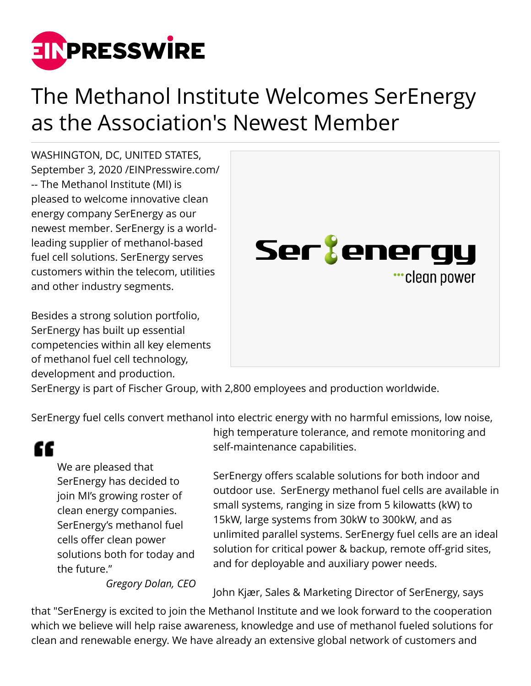

## The Methanol Institute Welcomes SerEnergy as the Association's Newest Member

WASHINGTON, DC, UNITED STATES, September 3, 2020 /[EINPresswire.com/](http://www.einpresswire.com) -- The Methanol Institute (MI) is pleased to welcome innovative clean energy company SerEnergy as our newest member. SerEnergy is a worldleading supplier of methanol-based fuel cell solutions. SerEnergy serves customers within the telecom, utilities and other industry segments.

Besides a strong solution portfolio, SerEnergy has built up essential competencies within all key elements of methanol fuel cell technology, development and production.



SerEnergy is part of Fischer Group, with 2,800 employees and production worldwide.

SerEnergy fuel cells convert methanol into electric energy with no harmful emissions, low noise,

## "

We are pleased that SerEnergy has decided to join MI's growing roster of clean energy companies. SerEnergy's methanol fuel cells offer clean power solutions both for today and the future."

high temperature tolerance, and remote monitoring and self-maintenance capabilities.

SerEnergy offers scalable solutions for both indoor and outdoor use. SerEnergy methanol fuel cells are available in small systems, ranging in size from 5 kilowatts (kW) to 15kW, large systems from 30kW to 300kW, and as unlimited parallel systems. SerEnergy fuel cells are an ideal solution for critical power & backup, remote off-grid sites, and for deployable and auxiliary power needs.

*Gregory Dolan, CEO*

John Kjær, Sales & Marketing Director of SerEnergy, says

that "SerEnergy is excited to join the Methanol Institute and we look forward to the cooperation which we believe will help raise awareness, knowledge and use of methanol fueled solutions for clean and renewable energy. We have already an extensive global network of customers and